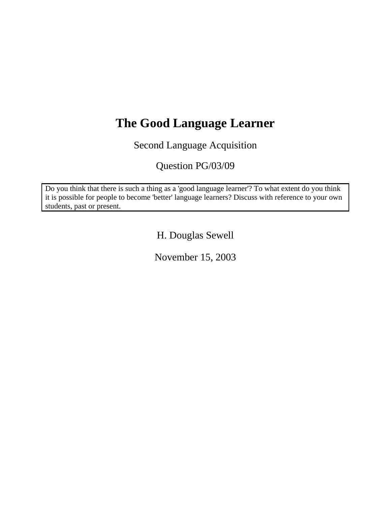# **The Good Language Learner**

Second Language Acquisition

Question PG/03/09

Do you think that there is such a thing as a 'good language learner'? To what extent do you think it is possible for people to become 'better' language learners? Discuss with reference to your own students, past or present.

H. Douglas Sewell

November 15, 2003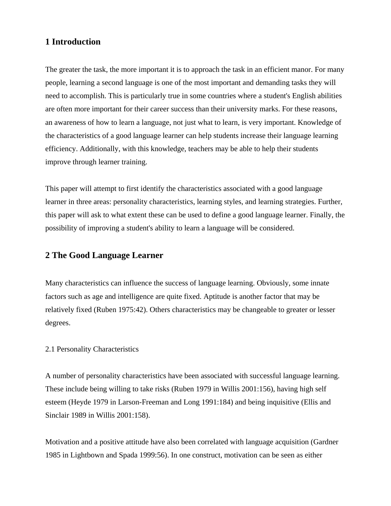# **1 Introduction**

The greater the task, the more important it is to approach the task in an efficient manor. For many people, learning a second language is one of the most important and demanding tasks they will need to accomplish. This is particularly true in some countries where a student's English abilities are often more important for their career success than their university marks. For these reasons, an awareness of how to learn a language, not just what to learn, is very important. Knowledge of the characteristics of a good language learner can help students increase their language learning efficiency. Additionally, with this knowledge, teachers may be able to help their students improve through learner training.

This paper will attempt to first identify the characteristics associated with a good language learner in three areas: personality characteristics, learning styles, and learning strategies. Further, this paper will ask to what extent these can be used to define a good language learner. Finally, the possibility of improving a student's ability to learn a language will be considered.

## **2 The Good Language Learner**

Many characteristics can influence the success of language learning. Obviously, some innate factors such as age and intelligence are quite fixed. Aptitude is another factor that may be relatively fixed (Ruben 1975:42). Others characteristics may be changeable to greater or lesser degrees.

#### 2.1 Personality Characteristics

A number of personality characteristics have been associated with successful language learning. These include being willing to take risks (Ruben 1979 in Willis 2001:156), having high self esteem (Heyde 1979 in Larson-Freeman and Long 1991:184) and being inquisitive (Ellis and Sinclair 1989 in Willis 2001:158).

Motivation and a positive attitude have also been correlated with language acquisition (Gardner 1985 in Lightbown and Spada 1999:56). In one construct, motivation can be seen as either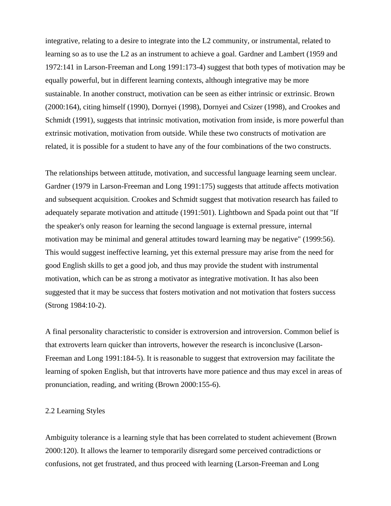integrative, relating to a desire to integrate into the L2 community, or instrumental, related to learning so as to use the L2 as an instrument to achieve a goal. Gardner and Lambert (1959 and 1972:141 in Larson-Freeman and Long 1991:173-4) suggest that both types of motivation may be equally powerful, but in different learning contexts, although integrative may be more sustainable. In another construct, motivation can be seen as either intrinsic or extrinsic. Brown (2000:164), citing himself (1990), Dornyei (1998), Dornyei and Csizer (1998), and Crookes and Schmidt (1991), suggests that intrinsic motivation, motivation from inside, is more powerful than extrinsic motivation, motivation from outside. While these two constructs of motivation are related, it is possible for a student to have any of the four combinations of the two constructs.

The relationships between attitude, motivation, and successful language learning seem unclear. Gardner (1979 in Larson-Freeman and Long 1991:175) suggests that attitude affects motivation and subsequent acquisition. Crookes and Schmidt suggest that motivation research has failed to adequately separate motivation and attitude (1991:501). Lightbown and Spada point out that "If the speaker's only reason for learning the second language is external pressure, internal motivation may be minimal and general attitudes toward learning may be negative" (1999:56). This would suggest ineffective learning, yet this external pressure may arise from the need for good English skills to get a good job, and thus may provide the student with instrumental motivation, which can be as strong a motivator as integrative motivation. It has also been suggested that it may be success that fosters motivation and not motivation that fosters success (Strong 1984:10-2).

A final personality characteristic to consider is extroversion and introversion. Common belief is that extroverts learn quicker than introverts, however the research is inconclusive (Larson-Freeman and Long 1991:184-5). It is reasonable to suggest that extroversion may facilitate the learning of spoken English, but that introverts have more patience and thus may excel in areas of pronunciation, reading, and writing (Brown 2000:155-6).

#### 2.2 Learning Styles

Ambiguity tolerance is a learning style that has been correlated to student achievement (Brown 2000:120). It allows the learner to temporarily disregard some perceived contradictions or confusions, not get frustrated, and thus proceed with learning (Larson-Freeman and Long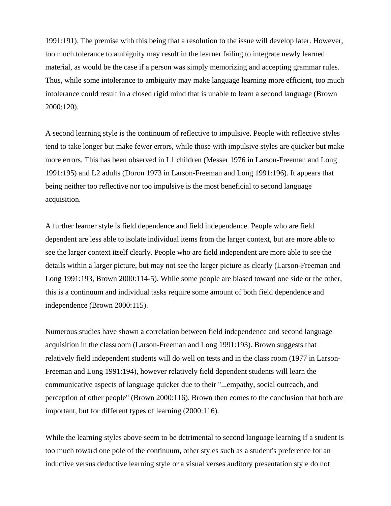1991:191). The premise with this being that a resolution to the issue will develop later. However, too much tolerance to ambiguity may result in the learner failing to integrate newly learned material, as would be the case if a person was simply memorizing and accepting grammar rules. Thus, while some intolerance to ambiguity may make language learning more efficient, too much intolerance could result in a closed rigid mind that is unable to learn a second language (Brown 2000:120).

A second learning style is the continuum of reflective to impulsive. People with reflective styles tend to take longer but make fewer errors, while those with impulsive styles are quicker but make more errors. This has been observed in L1 children (Messer 1976 in Larson-Freeman and Long 1991:195) and L2 adults (Doron 1973 in Larson-Freeman and Long 1991:196). It appears that being neither too reflective nor too impulsive is the most beneficial to second language acquisition.

A further learner style is field dependence and field independence. People who are field dependent are less able to isolate individual items from the larger context, but are more able to see the larger context itself clearly. People who are field independent are more able to see the details within a larger picture, but may not see the larger picture as clearly (Larson-Freeman and Long 1991:193, Brown 2000:114-5). While some people are biased toward one side or the other, this is a continuum and individual tasks require some amount of both field dependence and independence (Brown 2000:115).

Numerous studies have shown a correlation between field independence and second language acquisition in the classroom (Larson-Freeman and Long 1991:193). Brown suggests that relatively field independent students will do well on tests and in the class room (1977 in Larson-Freeman and Long 1991:194), however relatively field dependent students will learn the communicative aspects of language quicker due to their "...empathy, social outreach, and perception of other people" (Brown 2000:116). Brown then comes to the conclusion that both are important, but for different types of learning (2000:116).

While the learning styles above seem to be detrimental to second language learning if a student is too much toward one pole of the continuum, other styles such as a student's preference for an inductive versus deductive learning style or a visual verses auditory presentation style do not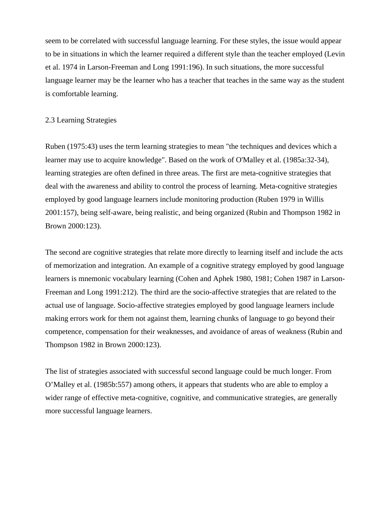seem to be correlated with successful language learning. For these styles, the issue would appear to be in situations in which the learner required a different style than the teacher employed (Levin et al. 1974 in Larson-Freeman and Long 1991:196). In such situations, the more successful language learner may be the learner who has a teacher that teaches in the same way as the student is comfortable learning.

#### 2.3 Learning Strategies

Ruben (1975:43) uses the term learning strategies to mean "the techniques and devices which a learner may use to acquire knowledge". Based on the work of O'Malley et al. (1985a:32-34), learning strategies are often defined in three areas. The first are meta-cognitive strategies that deal with the awareness and ability to control the process of learning. Meta-cognitive strategies employed by good language learners include monitoring production (Ruben 1979 in Willis 2001:157), being self-aware, being realistic, and being organized (Rubin and Thompson 1982 in Brown 2000:123).

The second are cognitive strategies that relate more directly to learning itself and include the acts of memorization and integration. An example of a cognitive strategy employed by good language learners is mnemonic vocabulary learning (Cohen and Aphek 1980, 1981; Cohen 1987 in Larson-Freeman and Long 1991:212). The third are the socio-affective strategies that are related to the actual use of language. Socio-affective strategies employed by good language learners include making errors work for them not against them, learning chunks of language to go beyond their competence, compensation for their weaknesses, and avoidance of areas of weakness (Rubin and Thompson 1982 in Brown 2000:123).

The list of strategies associated with successful second language could be much longer. From O'Malley et al. (1985b:557) among others, it appears that students who are able to employ a wider range of effective meta-cognitive, cognitive, and communicative strategies, are generally more successful language learners.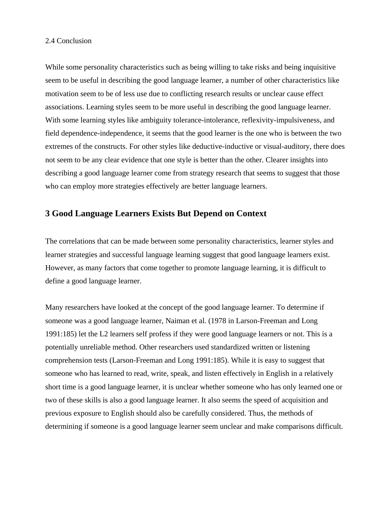#### 2.4 Conclusion

While some personality characteristics such as being willing to take risks and being inquisitive seem to be useful in describing the good language learner, a number of other characteristics like motivation seem to be of less use due to conflicting research results or unclear cause effect associations. Learning styles seem to be more useful in describing the good language learner. With some learning styles like ambiguity tolerance-intolerance, reflexivity-impulsiveness, and field dependence-independence, it seems that the good learner is the one who is between the two extremes of the constructs. For other styles like deductive-inductive or visual-auditory, there does not seem to be any clear evidence that one style is better than the other. Clearer insights into describing a good language learner come from strategy research that seems to suggest that those who can employ more strategies effectively are better language learners.

# **3 Good Language Learners Exists But Depend on Context**

The correlations that can be made between some personality characteristics, learner styles and learner strategies and successful language learning suggest that good language learners exist. However, as many factors that come together to promote language learning, it is difficult to define a good language learner.

Many researchers have looked at the concept of the good language learner. To determine if someone was a good language learner, Naiman et al. (1978 in Larson-Freeman and Long 1991:185) let the L2 learners self profess if they were good language learners or not. This is a potentially unreliable method. Other researchers used standardized written or listening comprehension tests (Larson-Freeman and Long 1991:185). While it is easy to suggest that someone who has learned to read, write, speak, and listen effectively in English in a relatively short time is a good language learner, it is unclear whether someone who has only learned one or two of these skills is also a good language learner. It also seems the speed of acquisition and previous exposure to English should also be carefully considered. Thus, the methods of determining if someone is a good language learner seem unclear and make comparisons difficult.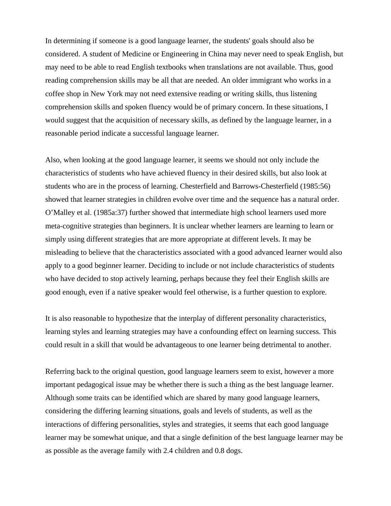In determining if someone is a good language learner, the students' goals should also be considered. A student of Medicine or Engineering in China may never need to speak English, but may need to be able to read English textbooks when translations are not available. Thus, good reading comprehension skills may be all that are needed. An older immigrant who works in a coffee shop in New York may not need extensive reading or writing skills, thus listening comprehension skills and spoken fluency would be of primary concern. In these situations, I would suggest that the acquisition of necessary skills, as defined by the language learner, in a reasonable period indicate a successful language learner.

Also, when looking at the good language learner, it seems we should not only include the characteristics of students who have achieved fluency in their desired skills, but also look at students who are in the process of learning. Chesterfield and Barrows-Chesterfield (1985:56) showed that learner strategies in children evolve over time and the sequence has a natural order. O'Malley et al. (1985a:37) further showed that intermediate high school learners used more meta-cognitive strategies than beginners. It is unclear whether learners are learning to learn or simply using different strategies that are more appropriate at different levels. It may be misleading to believe that the characteristics associated with a good advanced learner would also apply to a good beginner learner. Deciding to include or not include characteristics of students who have decided to stop actively learning, perhaps because they feel their English skills are good enough, even if a native speaker would feel otherwise, is a further question to explore.

It is also reasonable to hypothesize that the interplay of different personality characteristics, learning styles and learning strategies may have a confounding effect on learning success. This could result in a skill that would be advantageous to one learner being detrimental to another.

Referring back to the original question, good language learners seem to exist, however a more important pedagogical issue may be whether there is such a thing as the best language learner. Although some traits can be identified which are shared by many good language learners, considering the differing learning situations, goals and levels of students, as well as the interactions of differing personalities, styles and strategies, it seems that each good language learner may be somewhat unique, and that a single definition of the best language learner may be as possible as the average family with 2.4 children and 0.8 dogs.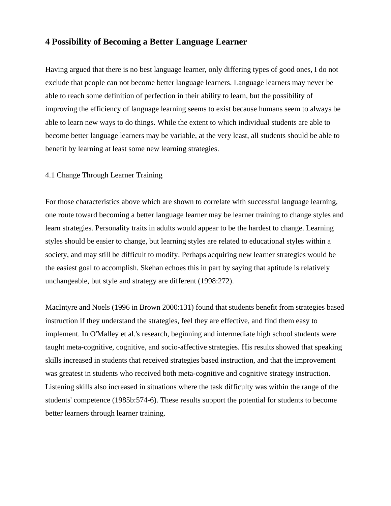# **4 Possibility of Becoming a Better Language Learner**

Having argued that there is no best language learner, only differing types of good ones, I do not exclude that people can not become better language learners. Language learners may never be able to reach some definition of perfection in their ability to learn, but the possibility of improving the efficiency of language learning seems to exist because humans seem to always be able to learn new ways to do things. While the extent to which individual students are able to become better language learners may be variable, at the very least, all students should be able to benefit by learning at least some new learning strategies.

#### 4.1 Change Through Learner Training

For those characteristics above which are shown to correlate with successful language learning, one route toward becoming a better language learner may be learner training to change styles and learn strategies. Personality traits in adults would appear to be the hardest to change. Learning styles should be easier to change, but learning styles are related to educational styles within a society, and may still be difficult to modify. Perhaps acquiring new learner strategies would be the easiest goal to accomplish. Skehan echoes this in part by saying that aptitude is relatively unchangeable, but style and strategy are different (1998:272).

MacIntyre and Noels (1996 in Brown 2000:131) found that students benefit from strategies based instruction if they understand the strategies, feel they are effective, and find them easy to implement. In O'Malley et al.'s research, beginning and intermediate high school students were taught meta-cognitive, cognitive, and socio-affective strategies. His results showed that speaking skills increased in students that received strategies based instruction, and that the improvement was greatest in students who received both meta-cognitive and cognitive strategy instruction. Listening skills also increased in situations where the task difficulty was within the range of the students' competence (1985b:574-6). These results support the potential for students to become better learners through learner training.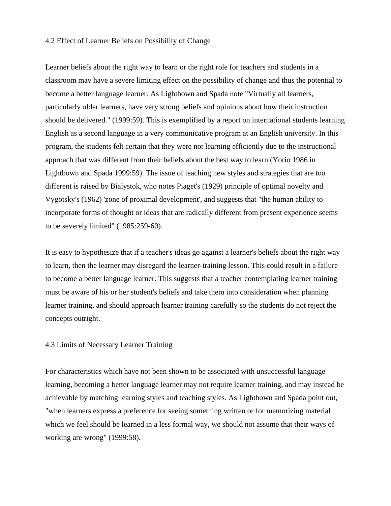#### 4.2 Effect of Learner Beliefs on Possibility of Change

Learner beliefs about the right way to learn or the right role for teachers and students in a classroom may have a severe limiting effect on the possibility of change and thus the potential to become a better language learner. As Lightbown and Spada note "Virtually all learners, particularly older learners, have very strong beliefs and opinions about how their instruction should be delivered." (1999:59). This is exemplified by a report on international students learning English as a second language in a very communicative program at an English university. In this program, the students felt certain that they were not learning efficiently due to the instructional approach that was different from their beliefs about the best way to learn (Yorio 1986 in Lightbown and Spada 1999:59). The issue of teaching new styles and strategies that are too different is raised by Bialystok, who notes Piaget's (1929) principle of optimal novelty and Vygotsky's (1962) 'zone of proximal development', and suggests that "the human ability to incorporate forms of thought or ideas that are radically different from present experience seems to be severely limited" (1985:259-60).

It is easy to hypothesize that if a teacher's ideas go against a learner's beliefs about the right way to learn, then the learner may disregard the learner-training lesson. This could result in a failure to become a better language learner. This suggests that a teacher contemplating learner training must be aware of his or her student's beliefs and take them into consideration when planning learner training, and should approach learner training carefully so the students do not reject the concepts outright.

#### 4.3 Limits of Necessary Learner Training

For characteristics which have not been shown to be associated with unsuccessful language learning, becoming a better language learner may not require learner training, and may instead be achievable by matching learning styles and teaching styles. As Lightbown and Spada point out, "when learners express a preference for seeing something written or for memorizing material which we feel should be learned in a less formal way, we should not assume that their ways of working are wrong" (1999:58).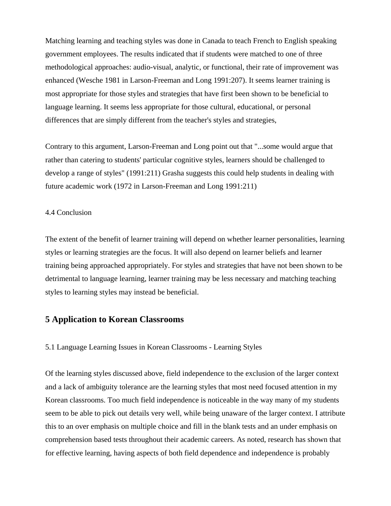Matching learning and teaching styles was done in Canada to teach French to English speaking government employees. The results indicated that if students were matched to one of three methodological approaches: audio-visual, analytic, or functional, their rate of improvement was enhanced (Wesche 1981 in Larson-Freeman and Long 1991:207). It seems learner training is most appropriate for those styles and strategies that have first been shown to be beneficial to language learning. It seems less appropriate for those cultural, educational, or personal differences that are simply different from the teacher's styles and strategies,

Contrary to this argument, Larson-Freeman and Long point out that "...some would argue that rather than catering to students' particular cognitive styles, learners should be challenged to develop a range of styles" (1991:211) Grasha suggests this could help students in dealing with future academic work (1972 in Larson-Freeman and Long 1991:211)

#### 4.4 Conclusion

The extent of the benefit of learner training will depend on whether learner personalities, learning styles or learning strategies are the focus. It will also depend on learner beliefs and learner training being approached appropriately. For styles and strategies that have not been shown to be detrimental to language learning, learner training may be less necessary and matching teaching styles to learning styles may instead be beneficial.

### **5 Application to Korean Classrooms**

5.1 Language Learning Issues in Korean Classrooms - Learning Styles

Of the learning styles discussed above, field independence to the exclusion of the larger context and a lack of ambiguity tolerance are the learning styles that most need focused attention in my Korean classrooms. Too much field independence is noticeable in the way many of my students seem to be able to pick out details very well, while being unaware of the larger context. I attribute this to an over emphasis on multiple choice and fill in the blank tests and an under emphasis on comprehension based tests throughout their academic careers. As noted, research has shown that for effective learning, having aspects of both field dependence and independence is probably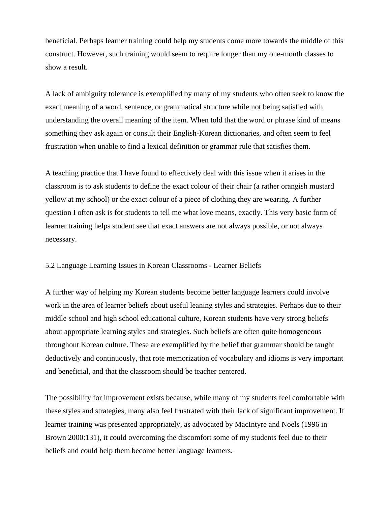beneficial. Perhaps learner training could help my students come more towards the middle of this construct. However, such training would seem to require longer than my one-month classes to show a result.

A lack of ambiguity tolerance is exemplified by many of my students who often seek to know the exact meaning of a word, sentence, or grammatical structure while not being satisfied with understanding the overall meaning of the item. When told that the word or phrase kind of means something they ask again or consult their English-Korean dictionaries, and often seem to feel frustration when unable to find a lexical definition or grammar rule that satisfies them.

A teaching practice that I have found to effectively deal with this issue when it arises in the classroom is to ask students to define the exact colour of their chair (a rather orangish mustard yellow at my school) or the exact colour of a piece of clothing they are wearing. A further question I often ask is for students to tell me what love means, exactly. This very basic form of learner training helps student see that exact answers are not always possible, or not always necessary.

#### 5.2 Language Learning Issues in Korean Classrooms - Learner Beliefs

A further way of helping my Korean students become better language learners could involve work in the area of learner beliefs about useful leaning styles and strategies. Perhaps due to their middle school and high school educational culture, Korean students have very strong beliefs about appropriate learning styles and strategies. Such beliefs are often quite homogeneous throughout Korean culture. These are exemplified by the belief that grammar should be taught deductively and continuously, that rote memorization of vocabulary and idioms is very important and beneficial, and that the classroom should be teacher centered.

The possibility for improvement exists because, while many of my students feel comfortable with these styles and strategies, many also feel frustrated with their lack of significant improvement. If learner training was presented appropriately, as advocated by MacIntyre and Noels (1996 in Brown 2000:131), it could overcoming the discomfort some of my students feel due to their beliefs and could help them become better language learners.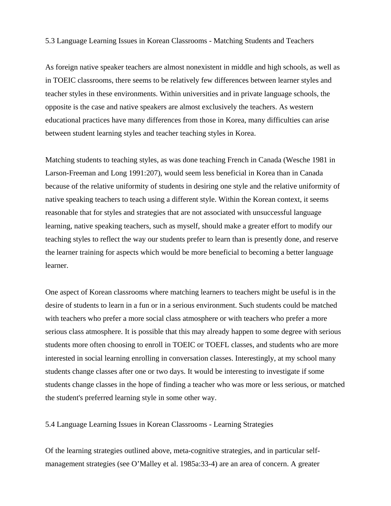5.3 Language Learning Issues in Korean Classrooms - Matching Students and Teachers

As foreign native speaker teachers are almost nonexistent in middle and high schools, as well as in TOEIC classrooms, there seems to be relatively few differences between learner styles and teacher styles in these environments. Within universities and in private language schools, the opposite is the case and native speakers are almost exclusively the teachers. As western educational practices have many differences from those in Korea, many difficulties can arise between student learning styles and teacher teaching styles in Korea.

Matching students to teaching styles, as was done teaching French in Canada (Wesche 1981 in Larson-Freeman and Long 1991:207), would seem less beneficial in Korea than in Canada because of the relative uniformity of students in desiring one style and the relative uniformity of native speaking teachers to teach using a different style. Within the Korean context, it seems reasonable that for styles and strategies that are not associated with unsuccessful language learning, native speaking teachers, such as myself, should make a greater effort to modify our teaching styles to reflect the way our students prefer to learn than is presently done, and reserve the learner training for aspects which would be more beneficial to becoming a better language learner.

One aspect of Korean classrooms where matching learners to teachers might be useful is in the desire of students to learn in a fun or in a serious environment. Such students could be matched with teachers who prefer a more social class atmosphere or with teachers who prefer a more serious class atmosphere. It is possible that this may already happen to some degree with serious students more often choosing to enroll in TOEIC or TOEFL classes, and students who are more interested in social learning enrolling in conversation classes. Interestingly, at my school many students change classes after one or two days. It would be interesting to investigate if some students change classes in the hope of finding a teacher who was more or less serious, or matched the student's preferred learning style in some other way.

5.4 Language Learning Issues in Korean Classrooms - Learning Strategies

Of the learning strategies outlined above, meta-cognitive strategies, and in particular selfmanagement strategies (see O'Malley et al. 1985a:33-4) are an area of concern. A greater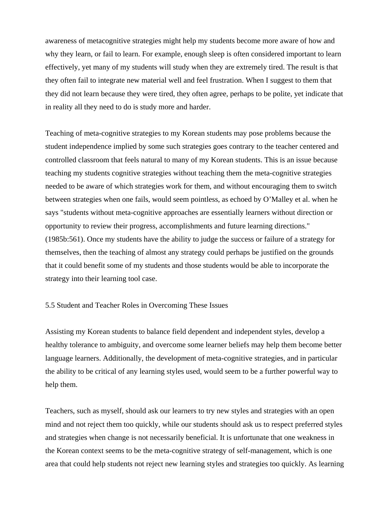awareness of metacognitive strategies might help my students become more aware of how and why they learn, or fail to learn. For example, enough sleep is often considered important to learn effectively, yet many of my students will study when they are extremely tired. The result is that they often fail to integrate new material well and feel frustration. When I suggest to them that they did not learn because they were tired, they often agree, perhaps to be polite, yet indicate that in reality all they need to do is study more and harder.

Teaching of meta-cognitive strategies to my Korean students may pose problems because the student independence implied by some such strategies goes contrary to the teacher centered and controlled classroom that feels natural to many of my Korean students. This is an issue because teaching my students cognitive strategies without teaching them the meta-cognitive strategies needed to be aware of which strategies work for them, and without encouraging them to switch between strategies when one fails, would seem pointless, as echoed by O'Malley et al. when he says "students without meta-cognitive approaches are essentially learners without direction or opportunity to review their progress, accomplishments and future learning directions." (1985b:561). Once my students have the ability to judge the success or failure of a strategy for themselves, then the teaching of almost any strategy could perhaps be justified on the grounds that it could benefit some of my students and those students would be able to incorporate the strategy into their learning tool case.

#### 5.5 Student and Teacher Roles in Overcoming These Issues

Assisting my Korean students to balance field dependent and independent styles, develop a healthy tolerance to ambiguity, and overcome some learner beliefs may help them become better language learners. Additionally, the development of meta-cognitive strategies, and in particular the ability to be critical of any learning styles used, would seem to be a further powerful way to help them.

Teachers, such as myself, should ask our learners to try new styles and strategies with an open mind and not reject them too quickly, while our students should ask us to respect preferred styles and strategies when change is not necessarily beneficial. It is unfortunate that one weakness in the Korean context seems to be the meta-cognitive strategy of self-management, which is one area that could help students not reject new learning styles and strategies too quickly. As learning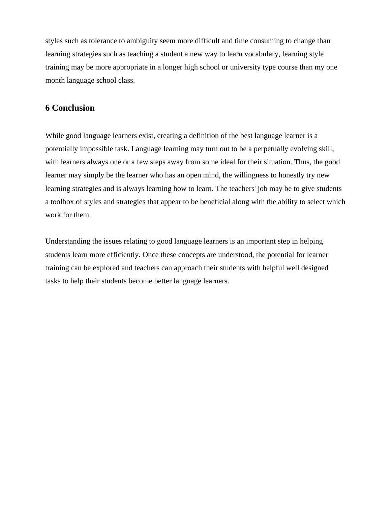styles such as tolerance to ambiguity seem more difficult and time consuming to change than learning strategies such as teaching a student a new way to learn vocabulary, learning style training may be more appropriate in a longer high school or university type course than my one month language school class.

## **6 Conclusion**

While good language learners exist, creating a definition of the best language learner is a potentially impossible task. Language learning may turn out to be a perpetually evolving skill, with learners always one or a few steps away from some ideal for their situation. Thus, the good learner may simply be the learner who has an open mind, the willingness to honestly try new learning strategies and is always learning how to learn. The teachers' job may be to give students a toolbox of styles and strategies that appear to be beneficial along with the ability to select which work for them.

Understanding the issues relating to good language learners is an important step in helping students learn more efficiently. Once these concepts are understood, the potential for learner training can be explored and teachers can approach their students with helpful well designed tasks to help their students become better language learners.